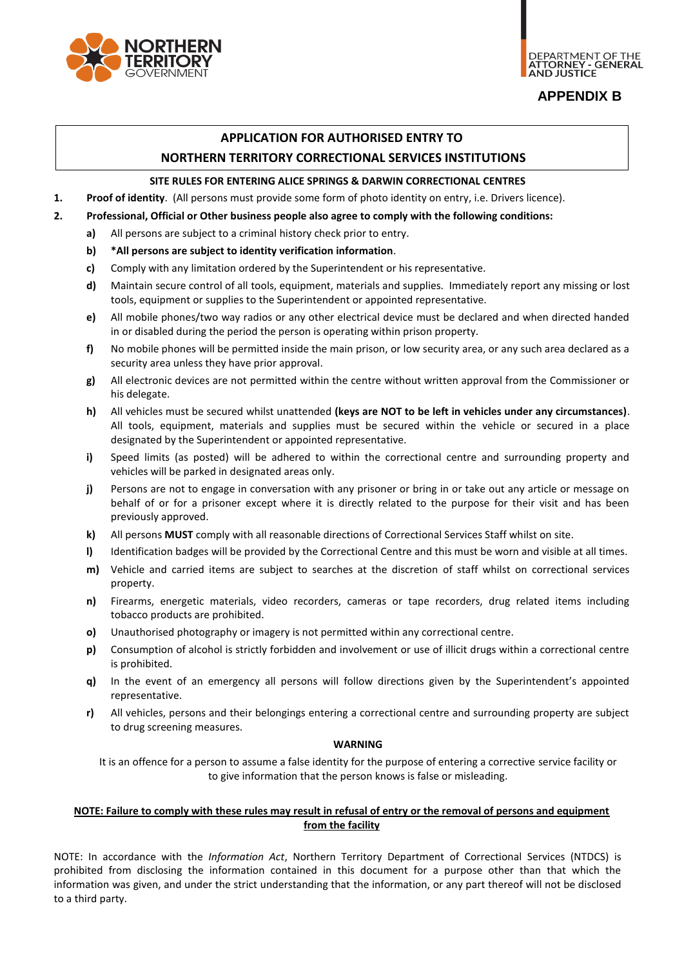

# **APPENDIX B**

# **APPLICATION FOR AUTHORISED ENTRY TO NORTHERN TERRITORY CORRECTIONAL SERVICES INSTITUTIONS**

## **SITE RULES FOR ENTERING ALICE SPRINGS & DARWIN CORRECTIONAL CENTRES**

**1. Proof of identity**. (All persons must provide some form of photo identity on entry, i.e. Drivers licence).

- **2. Professional, Official or Other business people also agree to comply with the following conditions:**
	- **a)** All persons are subject to a criminal history check prior to entry.
	- **b) \*All persons are subject to identity verification information**.
	- **c)** Comply with any limitation ordered by the Superintendent or his representative.
	- **d)** Maintain secure control of all tools, equipment, materials and supplies. Immediately report any missing or lost tools, equipment or supplies to the Superintendent or appointed representative.
	- **e)** All mobile phones/two way radios or any other electrical device must be declared and when directed handed in or disabled during the period the person is operating within prison property.
	- **f)** No mobile phones will be permitted inside the main prison, or low security area, or any such area declared as a security area unless they have prior approval.
	- **g)** All electronic devices are not permitted within the centre without written approval from the Commissioner or his delegate.
	- **h)** All vehicles must be secured whilst unattended **(keys are NOT to be left in vehicles under any circumstances)**. All tools, equipment, materials and supplies must be secured within the vehicle or secured in a place designated by the Superintendent or appointed representative.
	- **i)** Speed limits (as posted) will be adhered to within the correctional centre and surrounding property and vehicles will be parked in designated areas only.
	- **j)** Persons are not to engage in conversation with any prisoner or bring in or take out any article or message on behalf of or for a prisoner except where it is directly related to the purpose for their visit and has been previously approved.
	- **k)** All persons **MUST** comply with all reasonable directions of Correctional Services Staff whilst on site.
	- **I)** Identification badges will be provided by the Correctional Centre and this must be worn and visible at all times.
	- **m)** Vehicle and carried items are subject to searches at the discretion of staff whilst on correctional services property.
	- **n)** Firearms, energetic materials, video recorders, cameras or tape recorders, drug related items including tobacco products are prohibited.
	- **o)** Unauthorised photography or imagery is not permitted within any correctional centre.
	- **p)** Consumption of alcohol is strictly forbidden and involvement or use of illicit drugs within a correctional centre is prohibited.
	- **q)** In the event of an emergency all persons will follow directions given by the Superintendent's appointed representative.
	- **r)** All vehicles, persons and their belongings entering a correctional centre and surrounding property are subject to drug screening measures.

#### **WARNING**

It is an offence for a person to assume a false identity for the purpose of entering a corrective service facility or to give information that the person knows is false or misleading.

#### **NOTE: Failure to comply with these rules may result in refusal of entry or the removal of persons and equipment from the facility**

NOTE: In accordance with the *Information Act*, Northern Territory Department of Correctional Services (NTDCS) is prohibited from disclosing the information contained in this document for a purpose other than that which the information was given, and under the strict understanding that the information, or any part thereof will not be disclosed to a third party.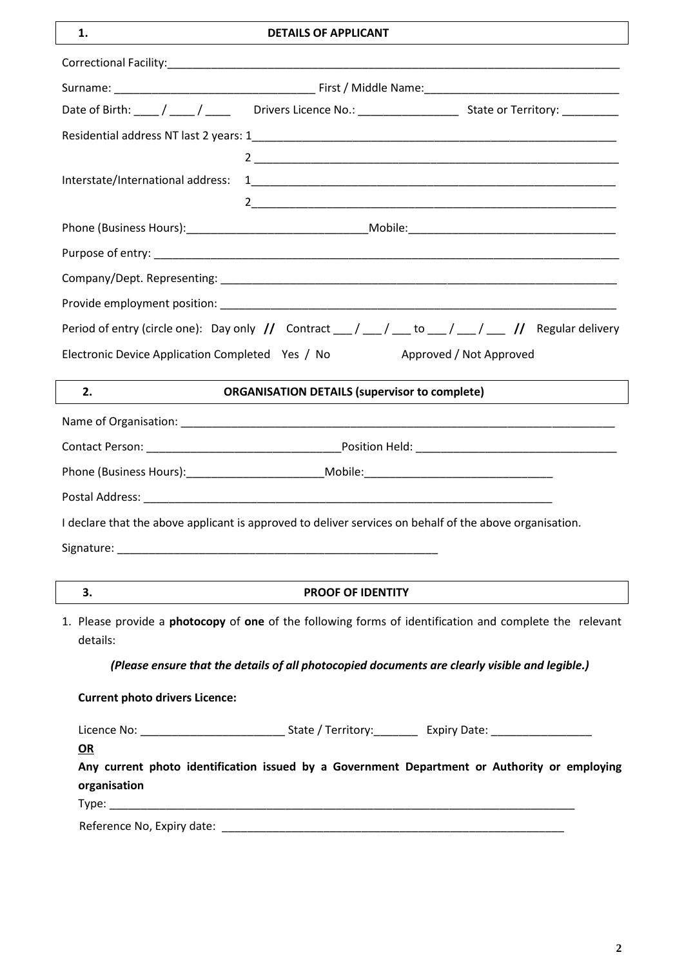# **1. DETAILS OF APPLICANT**

|                                                                                                                            | Date of Birth: ____/ ____/ _____ Drivers Licence No.: ___________________________ State or Territory: ___________                                                                                                             |  |  |  |
|----------------------------------------------------------------------------------------------------------------------------|-------------------------------------------------------------------------------------------------------------------------------------------------------------------------------------------------------------------------------|--|--|--|
|                                                                                                                            |                                                                                                                                                                                                                               |  |  |  |
|                                                                                                                            |                                                                                                                                                                                                                               |  |  |  |
| Interstate/International address:                                                                                          |                                                                                                                                                                                                                               |  |  |  |
|                                                                                                                            |                                                                                                                                                                                                                               |  |  |  |
|                                                                                                                            |                                                                                                                                                                                                                               |  |  |  |
|                                                                                                                            |                                                                                                                                                                                                                               |  |  |  |
|                                                                                                                            |                                                                                                                                                                                                                               |  |  |  |
|                                                                                                                            |                                                                                                                                                                                                                               |  |  |  |
|                                                                                                                            | Period of entry (circle one): Day only $\left  \frac{1}{2} \right $ Contract $\left  \frac{1}{2} \right  \left  \frac{1}{2} \right $ $\left  \frac{1}{2} \right  \left  \frac{1}{2} \right $ Regular delivery                 |  |  |  |
| Electronic Device Application Completed Yes / No                                                                           | Approved / Not Approved                                                                                                                                                                                                       |  |  |  |
|                                                                                                                            |                                                                                                                                                                                                                               |  |  |  |
| 2.                                                                                                                         | <b>ORGANISATION DETAILS (supervisor to complete)</b>                                                                                                                                                                          |  |  |  |
|                                                                                                                            |                                                                                                                                                                                                                               |  |  |  |
|                                                                                                                            |                                                                                                                                                                                                                               |  |  |  |
|                                                                                                                            |                                                                                                                                                                                                                               |  |  |  |
|                                                                                                                            |                                                                                                                                                                                                                               |  |  |  |
|                                                                                                                            | I declare that the above applicant is approved to deliver services on behalf of the above organisation.                                                                                                                       |  |  |  |
|                                                                                                                            |                                                                                                                                                                                                                               |  |  |  |
|                                                                                                                            |                                                                                                                                                                                                                               |  |  |  |
| 3.                                                                                                                         | <b>PROOF OF IDENTITY</b>                                                                                                                                                                                                      |  |  |  |
| 1. Please provide a <b>photocopy</b> of one of the following forms of identification and complete the relevant<br>details: |                                                                                                                                                                                                                               |  |  |  |
|                                                                                                                            | (Please ensure that the details of all photocopied documents are clearly visible and legible.)                                                                                                                                |  |  |  |
| <b>Current photo drivers Licence:</b>                                                                                      |                                                                                                                                                                                                                               |  |  |  |
|                                                                                                                            |                                                                                                                                                                                                                               |  |  |  |
| <u>OR</u>                                                                                                                  |                                                                                                                                                                                                                               |  |  |  |
| organisation                                                                                                               | Any current photo identification issued by a Government Department or Authority or employing                                                                                                                                  |  |  |  |
|                                                                                                                            | Type: Type: Type: Type: Type: Type: Type: Type: Type: Type: Type: Type: Type: Type: Type: Type: Type: Type: Type: Type: Type: Type: Type: Type: Type: Type: Type: Type: Type: Type: Type: Type: Type: Type: Type: Type: Type: |  |  |  |
|                                                                                                                            |                                                                                                                                                                                                                               |  |  |  |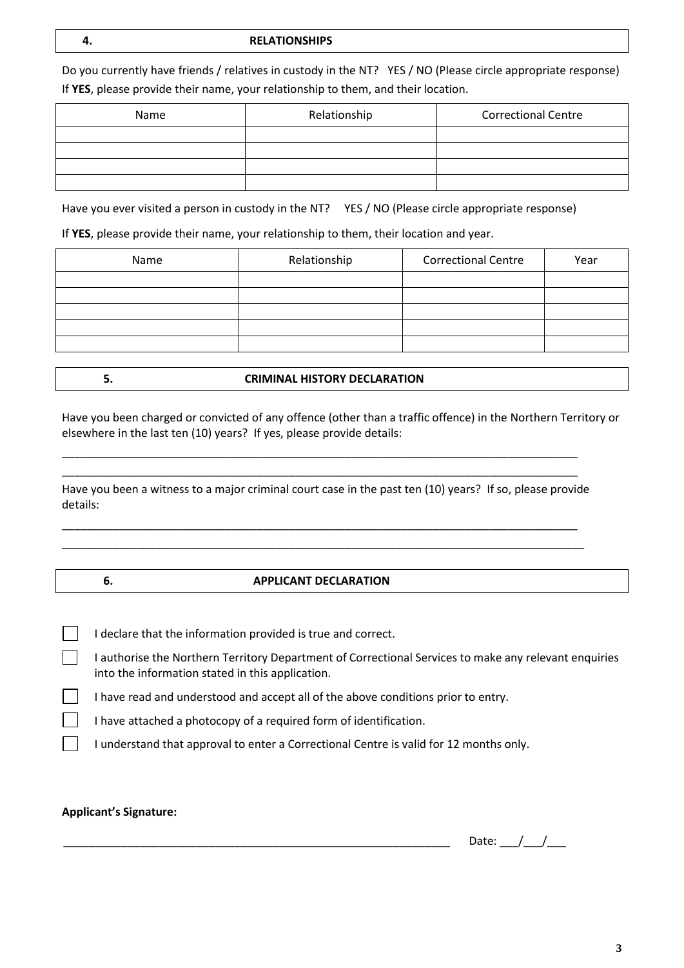#### **4. RELATIONSHIPS**

Do you currently have friends / relatives in custody in the NT? YES / NO (Please circle appropriate response) If **YES**, please provide their name, your relationship to them, and their location.

| Name | Relationship | <b>Correctional Centre</b> |
|------|--------------|----------------------------|
|      |              |                            |
|      |              |                            |
|      |              |                            |
|      |              |                            |

Have you ever visited a person in custody in the NT? YES / NO (Please circle appropriate response)

If **YES**, please provide their name, your relationship to them, their location and year.

| Name | Relationship | <b>Correctional Centre</b> | Year |
|------|--------------|----------------------------|------|
|      |              |                            |      |
|      |              |                            |      |
|      |              |                            |      |
|      |              |                            |      |
|      |              |                            |      |

**5. CRIMINAL HISTORY DECLARATION**

Have you been charged or convicted of any offence (other than a traffic offence) in the Northern Territory or elsewhere in the last ten (10) years? If yes, please provide details:

Have you been a witness to a major criminal court case in the past ten (10) years? If so, please provide details:

\_\_\_\_\_\_\_\_\_\_\_\_\_\_\_\_\_\_\_\_\_\_\_\_\_\_\_\_\_\_\_\_\_\_\_\_\_\_\_\_\_\_\_\_\_\_\_\_\_\_\_\_\_\_\_\_\_\_\_\_\_\_\_\_\_\_\_\_\_\_\_\_\_\_\_\_\_\_\_\_\_\_ \_\_\_\_\_\_\_\_\_\_\_\_\_\_\_\_\_\_\_\_\_\_\_\_\_\_\_\_\_\_\_\_\_\_\_\_\_\_\_\_\_\_\_\_\_\_\_\_\_\_\_\_\_\_\_\_\_\_\_\_\_\_\_\_\_\_\_\_\_\_\_\_\_\_\_\_\_\_\_\_\_\_\_

\_\_\_\_\_\_\_\_\_\_\_\_\_\_\_\_\_\_\_\_\_\_\_\_\_\_\_\_\_\_\_\_\_\_\_\_\_\_\_\_\_\_\_\_\_\_\_\_\_\_\_\_\_\_\_\_\_\_\_\_\_\_\_\_\_\_\_\_\_\_\_\_\_\_\_\_\_\_\_\_\_\_ \_\_\_\_\_\_\_\_\_\_\_\_\_\_\_\_\_\_\_\_\_\_\_\_\_\_\_\_\_\_\_\_\_\_\_\_\_\_\_\_\_\_\_\_\_\_\_\_\_\_\_\_\_\_\_\_\_\_\_\_\_\_\_\_\_\_\_\_\_\_\_\_\_\_\_\_\_\_\_\_\_\_

## **6. APPLICANT DECLARATION**

I declare that the information provided is true and correct.

I authorise the Northern Territory Department of Correctional Services to make any relevant enquiries into the information stated in this application.

I have read and understood and accept all of the above conditions prior to entry.

I have attached a photocopy of a required form of identification.

I understand that approval to enter a Correctional Centre is valid for 12 months only.

## **Applicant's Signature:**

Date:  $/$  /

**3**